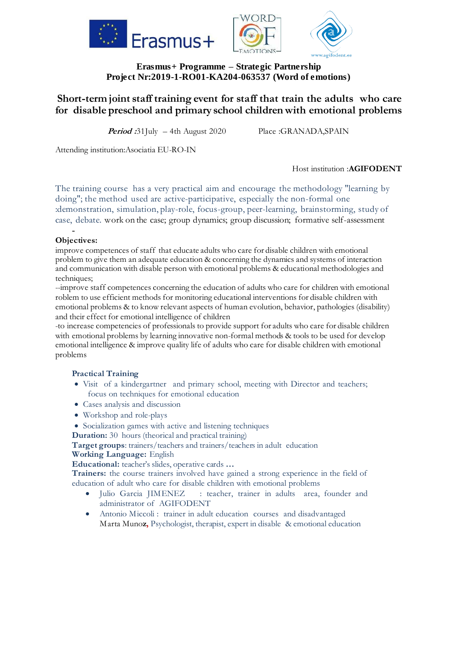





# **Erasmus+ Programme – Strategic Partnership Project Nr:2019-1-RO01-KA204-063537 (Word of emotions)**

# **Short-term joint staff training event for staff that train the adults who care for disable preschool and primary school children with emotional problems**

**Period :**31July – 4th August 2020 Place :GRANADA,SPAIN

Attending institution:Asociatia EU-RO-IN

Host institution :**AGIFODENT**

The training course has a very practical aim and encourage the methodology "learning by doing"; the method used are active-participative, especially the non-formal one :demonstration, simulation, play-role, focus-group, peer-learning, brainstorming, study of case, debate. work on the case; group dynamics; group discussion; formative self-assessment

#### - **Objectives:**

improve competences of staff that educate adults who care for disable children with emotional problem to give them an adequate education & concerning the dynamics and systems of interaction and communication with disable person with emotional problems & educational methodologies and techniques;

--improve staff competences concerning the education of adults who care for children with emotional roblem to use efficient methods for monitoring educational interventions for disable children with emotional problems & to know relevant aspects of human evolution, behavior, pathologies (disability) and their effect for emotional intelligence of children

-to increase competencies of professionals to provide support for adults who care for disable children with emotional problems by learning innovative non-formal methods & tools to be used for develop emotional intelligence & improve quality life of adults who care for disable children with emotional problems

### **Practical Training**

- Visit of a kindergartner and primary school, meeting with Director and teachers; focus on techniques for emotional education
- Cases analysis and discussion
- Workshop and role-plays
- Socialization games with active and listening techniques

**Duration:** 30 hours (theorical and practical training)

**Target groups**: trainers/teachers and trainers/teachers in adult education **Working Language:** English

**Educational:** teacher's slides, operative cards **…**

**Trainers:** the course trainers involved have gained a strong experience in the field of education of adult who care for disable children with emotional problems

- Julio Garcia JIMENEZ : teacher, trainer in adults area, founder and administrator of AGIFODENT
- Antonio Miccoli : trainer in adult education courses and disadvantaged Marta Muno**z,** Psychologist, therapist, expert in disable & emotional education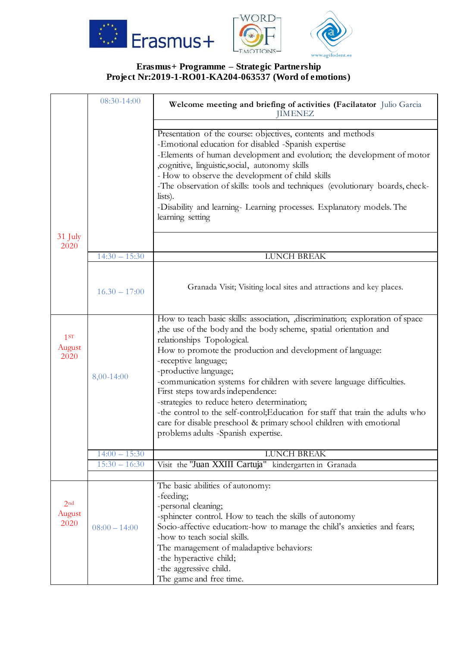



# **Erasmus+ Programme – Strategic Partnership Project Nr:2019-1-RO01-KA204-063537 (Word of emotions)**

|                                   | 08:30-14:00     | Welcome meeting and briefing of activities (Facilatator Julio Garcia<br><b>JIMENEZ</b>                                                                                                                                                                                                                                                                                                                                                                                                                                                                                                                                                                       |
|-----------------------------------|-----------------|--------------------------------------------------------------------------------------------------------------------------------------------------------------------------------------------------------------------------------------------------------------------------------------------------------------------------------------------------------------------------------------------------------------------------------------------------------------------------------------------------------------------------------------------------------------------------------------------------------------------------------------------------------------|
|                                   |                 | Presentation of the course: objectives, contents and methods<br>-Emotional education for disabled -Spanish expertise<br>-Elements of human development and evolution; the development of motor<br>, cognitive, linguistic, social, autonomy skills<br>- How to observe the development of child skills<br>-The observation of skills: tools and techniques (evolutionary boards, check-<br>lists).<br>-Disability and learning- Learning processes. Explanatory models. The<br>learning setting                                                                                                                                                              |
| 31 July<br>2020                   | $14:30 - 15:30$ | LUNCH BREAK                                                                                                                                                                                                                                                                                                                                                                                                                                                                                                                                                                                                                                                  |
|                                   |                 |                                                                                                                                                                                                                                                                                                                                                                                                                                                                                                                                                                                                                                                              |
|                                   | $16.30 - 17:00$ | Granada Visit; Visiting local sites and attractions and key places.                                                                                                                                                                                                                                                                                                                                                                                                                                                                                                                                                                                          |
| 1ST<br>August<br>2020             | 8,00-14:00      | How to teach basic skills: association, discrimination; exploration of space<br>the use of the body and the body scheme, spatial orientation and<br>relationships Topological.<br>How to promote the production and development of language:<br>-receptive language;<br>-productive language;<br>-communication systems for children with severe language difficulties.<br>First steps towards independence:<br>-strategies to reduce hetero determination;<br>-the control to the self-control; Education for staff that train the adults who<br>care for disable preschool & primary school children with emotional<br>problems adults -Spanish expertise. |
|                                   | $14:00 - 15:30$ | <b>LUNCH BREAK</b>                                                                                                                                                                                                                                                                                                                                                                                                                                                                                                                                                                                                                                           |
|                                   | $15:30 - 16:30$ | Visit the "Juan XXIII Cartuja" kindergarten in Granada                                                                                                                                                                                                                                                                                                                                                                                                                                                                                                                                                                                                       |
| 2 <sub>nd</sub><br>August<br>2020 | $08:00 - 14:00$ | The basic abilities of autonomy:<br>-feeding;<br>-personal cleaning;<br>-sphincter control. How to teach the skills of autonomy<br>Socio-affective education:-how to manage the child's anxieties and fears;<br>-how to teach social skills.<br>The management of maladaptive behaviors:<br>-the hyperactive child;<br>-the aggressive child.<br>The game and free time.                                                                                                                                                                                                                                                                                     |